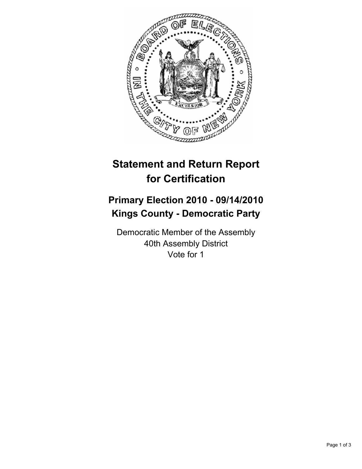

# **Statement and Return Report for Certification**

## **Primary Election 2010 - 09/14/2010 Kings County - Democratic Party**

Democratic Member of the Assembly 40th Assembly District Vote for 1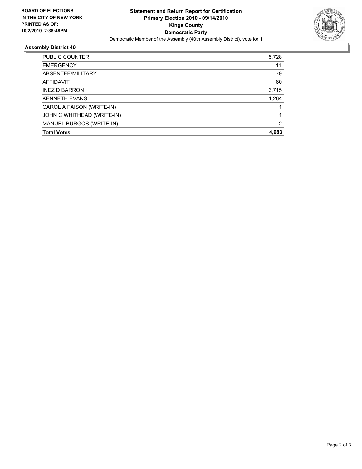

### **Assembly District 40**

| PUBLIC COUNTER             | 5,728 |
|----------------------------|-------|
| <b>EMERGENCY</b>           | 11    |
| ABSENTEE/MILITARY          | 79    |
| <b>AFFIDAVIT</b>           | 60    |
| <b>INEZ D BARRON</b>       | 3,715 |
| <b>KENNETH EVANS</b>       | 1,264 |
| CAROL A FAISON (WRITE-IN)  |       |
| JOHN C WHITHEAD (WRITE-IN) |       |
| MANUEL BURGOS (WRITE-IN)   | 2     |
| <b>Total Votes</b>         | 4.983 |